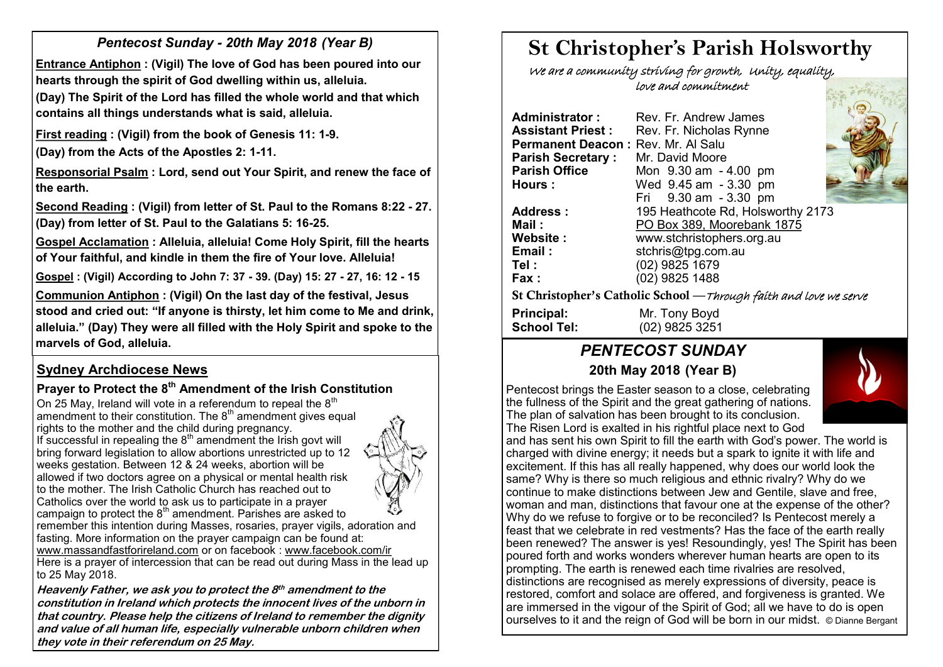# *Pentecost Sunday - 20th May 2018 (Year B)*

**Entrance Antiphon : (Vigil) The love of God has been poured into our hearts through the spirit of God dwelling within us, alleluia.**

**(Day) The Spirit of the Lord has filled the whole world and that which contains all things understands what is said, alleluia.**

**First reading : (Vigil) from the book of Genesis 11: 1-9.** 

**(Day) from the Acts of the Apostles 2: 1-11.** 

**Responsorial Psalm : Lord, send out Your Spirit, and renew the face of the earth.**

**Second Reading : (Vigil) from letter of St. Paul to the Romans 8:22 - 27. (Day) from letter of St. Paul to the Galatians 5: 16-25.** 

**Gospel Acclamation : Alleluia, alleluia! Come Holy Spirit, fill the hearts of Your faithful, and kindle in them the fire of Your love. Alleluia!** 

**Gospel : (Vigil) According to John 7: 37 - 39. (Day) 15: 27 - 27, 16: 12 - 15**

**Communion Antiphon : (Vigil) On the last day of the festival, Jesus stood and cried out: "If anyone is thirsty, let him come to Me and drink, alleluia." (Day) They were all filled with the Holy Spirit and spoke to the marvels of God, alleluia.**

## **Sydney Archdiocese News**

# **Prayer to Protect the 8th Amendment of the Irish Constitution**

On 25 May, Ireland will vote in a referendum to repeal the  $8<sup>th</sup>$ amendment to their constitution. The  $8<sup>th</sup>$  amendment gives equal rights to the mother and the child during pregnancy. If successful in repealing the  $8<sup>th</sup>$  amendment the Irish govt will bring forward legislation to allow abortions unrestricted up to 12 weeks gestation. Between 12 & 24 weeks, abortion will be allowed if two doctors agree on a physical or mental health risk to the mother. The Irish Catholic Church has reached out to Catholics over the world to ask us to participate in a prayer campaign to protect the  $8<sup>th</sup>$  amendment. Parishes are asked to remember this intention during Masses, rosaries, prayer vigils, adoration and fasting. More information on the prayer campaign can be found at: [www.massandfastforireland.com](http://www.massandfastforireland.com) or on facebook : [www.facebook.com/ir](http://www.facebook.com/ir)

Here is a prayer of intercession that can be read out during Mass in the lead up to 25 May 2018.

**Heavenly Father, we ask you to protect the 8 th amendment to the constitution in Ireland which protects the innocent lives of the unborn in that country. Please help the citizens of Ireland to remember the dignity and value of all human life, especially vulnerable unborn children when they vote in their referendum on 25 May.**

# **St Christopher's Parish Holsworthy**

 We are a community striving for growth, Unity, equality, love and commitment

**Administrator :** Rev. Fr. Andrew James **Assistant Priest : Rev. Fr. Nicholas Rynne Permanent Deacon: Rev. Mr. Al Salu<br><b>Parish Secretary:** Mr. David Moore **Parish Secretary :<br>Parish Office Parish Office** Mon 9.30 am - 4.00 pm **Hours :** Wed 9.45 am - 3.30 pm Fri 9.30 am - 3.30 pm **Address :** 195 Heathcote Rd, Holsworthy 2173 **Mail :** PO Box 389, Moorebank 1875 **Website :** www.stchristophers.org.au **Email :** stchris@tpg.com.au **Tel :** (02) 9825 1679 **Fax :** (02) 9825 1488 St Christopher's Catholic School —Through faith and love we serve **Principal:** Mr. Tony Boyd **School Tel:** (02) 9825 3251

# *PENTECOST SUNDAY* **20th May 2018 (Year B)**

Pentecost brings the Easter season to a close, celebrating the fullness of the Spirit and the great gathering of nations. The plan of salvation has been brought to its conclusion. The Risen Lord is exalted in his rightful place next to God



and has sent his own Spirit to fill the earth with God's power. The world is charged with divine energy; it needs but a spark to ignite it with life and excitement. If this has all really happened, why does our world look the same? Why is there so much religious and ethnic rivalry? Why do we continue to make distinctions between Jew and Gentile, slave and free, woman and man, distinctions that favour one at the expense of the other? Why do we refuse to forgive or to be reconciled? Is Pentecost merely a feast that we celebrate in red vestments? Has the face of the earth really been renewed? The answer is yes! Resoundingly, yes! The Spirit has been poured forth and works wonders wherever human hearts are open to its prompting. The earth is renewed each time rivalries are resolved, distinctions are recognised as merely expressions of diversity, peace is restored, comfort and solace are offered, and forgiveness is granted. We are immersed in the vigour of the Spirit of God; all we have to do is open ourselves to it and the reign of God will be born in our midst. © Dianne Bergant